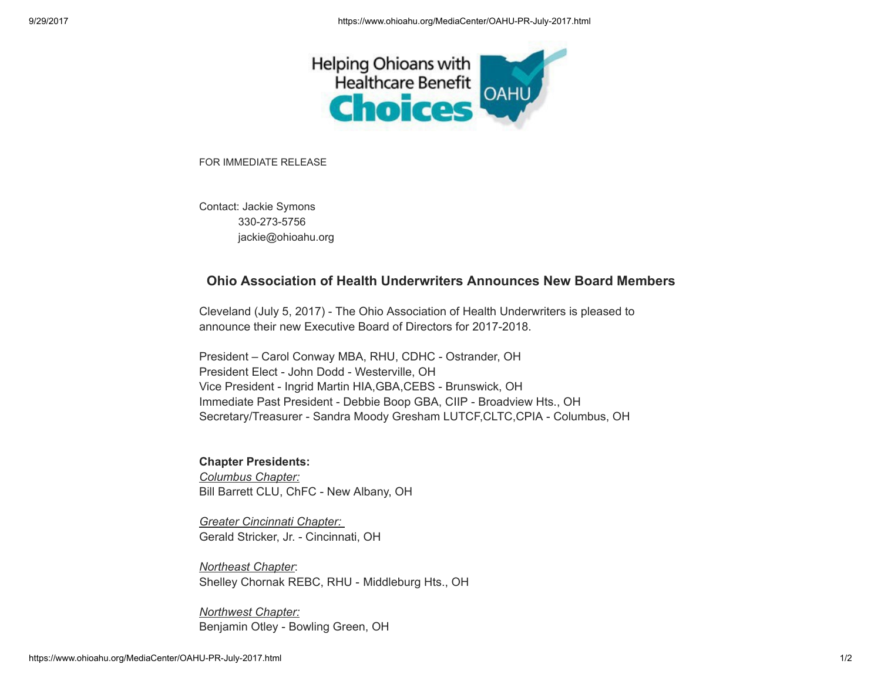

FOR IMMEDIATE RELEASE

Contact: Jackie Symons 330-273-5756 jackie@ohioahu.org

## Ohio Association of Health Underwriters Announces New Board Members

Cleveland (July 5, 2017) - The Ohio Association of Health Underwriters is pleased to announce their new Executive Board of Directors for 2017-2018.

President – Carol Conway MBA, RHU, CDHC - Ostrander, OH President Elect - John Dodd - Westerville, OH Vice President - Ingrid Martin HIA,GBA,CEBS - Brunswick, OH Immediate Past President - Debbie Boop GBA, CIIP - Broadview Hts., OH Secretary/Treasurer - Sandra Moody Gresham LUTCF,CLTC,CPIA - Columbus, OH

## Chapter Presidents:

Columbus Chapter: Bill Barrett CLU, ChFC - New Albany, OH

Greater Cincinnati Chapter: Gerald Stricker, Jr. - Cincinnati, OH

Northeast Chapter: Shelley Chornak REBC, RHU - Middleburg Hts., OH

Northwest Chapter: Benjamin Otley - Bowling Green, OH